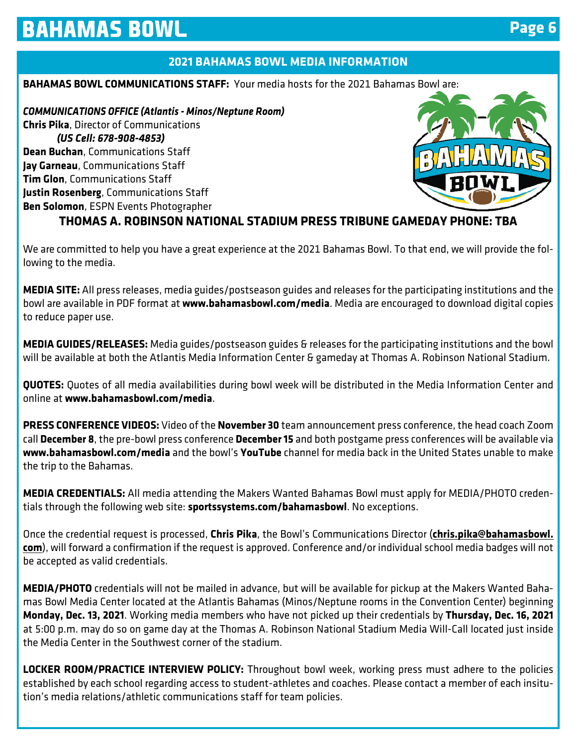### **2021 BAHAMAS BOWL MEDIA INFORMATION**

#### **BAHAMAS BOWL COMMUNICATIONS STAFF:** Your media hosts for the 2021 Bahamas Bowl are:

*COMMUNICATIONS OFFICE (Atlantis - Minos/Neptune Room)* **Chris Pika**, Director of Communications *(US Cell: 678-908-4853)* **Dean Buchan**, Communications Staff **Jay Garneau**, Communications Staff **Tim Glon**, Communications Staff **Justin Rosenberg**, Communications Staff **Ben Solomon**, ESPN Events Photographer



## **THOMAS A. ROBINSON NATIONAL STADIUM PRESS TRIBUNE GAMEDAY PHONE: TBA**

We are committed to help you have a great experience at the 2021 Bahamas Bowl. To that end, we will provide the following to the media.

**MEDIA SITE:** All press releases, media guides/postseason guides and releases for the participating institutions and the bowl are available in PDF format at **www.bahamasbowl.com/media**. Media are encouraged to download digital copies to reduce paper use.

**MEDIA GUIDES/RELEASES:** Media guides/postseason guides & releases for the participating institutions and the bowl will be available at both the Atlantis Media Information Center & gameday at Thomas A. Robinson National Stadium.

**QUOTES:** Quotes of all media availabilities during bowl week will be distributed in the Media Information Center and online at **www.bahamasbowl.com/media**.

**PRESS CONFERENCE VIDEOS:** Video of the **November 30** team announcement press conference, the head coach Zoom call **December 8**, the pre-bowl press conference **December 15** and both postgame press conferences will be available via **www.bahamasbowl.com/media** and the bowl's **YouTube** channel for media back in the United States unable to make the trip to the Bahamas.

**MEDIA CREDENTIALS:** All media attending the Makers Wanted Bahamas Bowl must apply for MEDIA/PHOTO credentials through the following web site: **sportssystems.com/bahamasbowl**. No exceptions.

Once the credential request is processed, **Chris Pika**, the Bowl's Communications Director (**chris.pika@bahamasbowl.** com), will forward a confirmation if the request is approved. Conference and/or individual school media badges will not be accepted as valid credentials.

**MEDIA/PHOTO** credentials will not be mailed in advance, but will be available for pickup at the Makers Wanted Bahamas Bowl Media Center located at the Atlantis Bahamas (Minos/Neptune rooms in the Convention Center) beginning **Monday, Dec. 13, 2021**. Working media members who have not picked up their credentials by **Thursday, Dec. 16, 2021** at 5:00 p.m. may do so on game day at the Thomas A. Robinson National Stadium Media Will-Call located just inside the Media Center in the Southwest corner of the stadium.

**LOCKER ROOM/PRACTICE INTERVIEW POLICY:** Throughout bowl week, working press must adhere to the policies established by each school regarding access to student-athletes and coaches. Please contact a member of each insitution's media relations/athletic communications staff for team policies.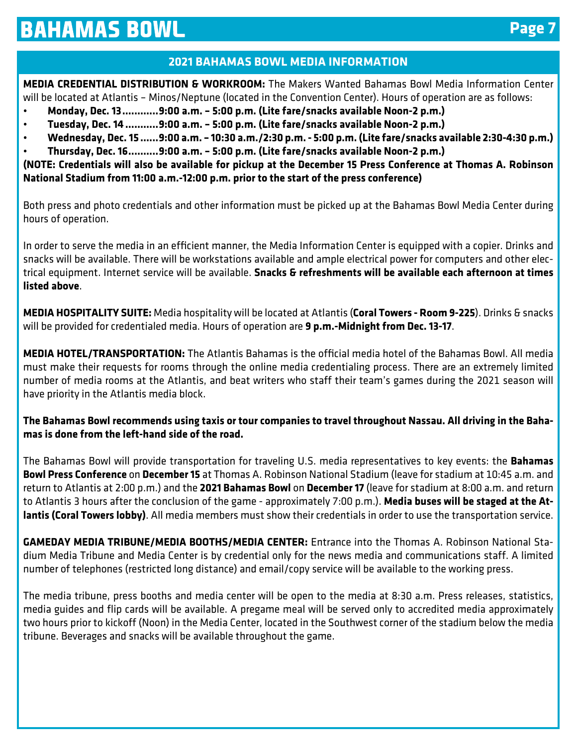### **2021 BAHAMAS BOWL MEDIA INFORMATION**

**MEDIA CREDENTIAL DISTRIBUTION & WORKROOM:** The Makers Wanted Bahamas Bowl Media Information Center will be located at Atlantis – Minos/Neptune (located in the Convention Center). Hours of operation are as follows:

- **Monday, Dec. 13 ............9:00 a.m. 5:00 p.m. (Lite fare/snacks available Noon-2 p.m.)**
- **Tuesday, Dec. 14 ...........9:00 a.m. 5:00 p.m. (Lite fare/snacks available Noon-2 p.m.)**
- **Wednesday, Dec. 15 ......9:00 a.m. 10:30 a.m./2:30 p.m. 5:00 p.m. (Lite fare/snacks available 2:30-4:30 p.m.)**
- **Thursday, Dec. 16 ..........9:00 a.m. 5:00 p.m. (Lite fare/snacks available Noon-2 p.m.)**

**(NOTE: Credentials will also be available for pickup at the December 15 Press Conference at Thomas A. Robinson National Stadium from 11:00 a.m.-12:00 p.m. prior to the start of the press conference)**

Both press and photo credentials and other information must be picked up at the Bahamas Bowl Media Center during hours of operation.

In order to serve the media in an efficient manner, the Media Information Center is equipped with a copier. Drinks and snacks will be available. There will be workstations available and ample electrical power for computers and other electrical equipment. Internet service will be available. **Snacks & refreshments will be available each afternoon at times listed above**.

**MEDIA HOSPITALITY SUITE:** Media hospitality will be located at Atlantis (**Coral Towers - Room 9-225**). Drinks & snacks will be provided for credentialed media. Hours of operation are **9 p.m.-Midnight from Dec. 13-17**.

**MEDIA HOTEL/TRANSPORTATION:** The Atlantis Bahamas is the official media hotel of the Bahamas Bowl. All media must make their requests for rooms through the online media credentialing process. There are an extremely limited number of media rooms at the Atlantis, and beat writers who staff their team's games during the 2021 season will have priority in the Atlantis media block.

**The Bahamas Bowl recommends using taxis or tour companies to travel throughout Nassau. All driving in the Bahamas is done from the left-hand side of the road.**

The Bahamas Bowl will provide transportation for traveling U.S. media representatives to key events: the **Bahamas Bowl Press Conference** on **December 15** at Thomas A. Robinson National Stadium (leave for stadium at 10:45 a.m. and return to Atlantis at 2:00 p.m.) and the **2021 Bahamas Bowl** on **December 17** (leave for stadium at 8:00 a.m. and return to Atlantis 3 hours after the conclusion of the game - approximately 7:00 p.m.). **Media buses will be staged at the Atlantis (Coral Towers lobby)**. All media members must show their credentials in order to use the transportation service.

**GAMEDAY MEDIA TRIBUNE/MEDIA BOOTHS/MEDIA CENTER:** Entrance into the Thomas A. Robinson National Stadium Media Tribune and Media Center is by credential only for the news media and communications staff. A limited number of telephones (restricted long distance) and email/copy service will be available to the working press.

The media tribune, press booths and media center will be open to the media at 8:30 a.m. Press releases, statistics, media guides and flip cards will be available. A pregame meal will be served only to accredited media approximately two hours prior to kickoff (Noon) in the Media Center, located in the Southwest corner of the stadium below the media tribune. Beverages and snacks will be available throughout the game.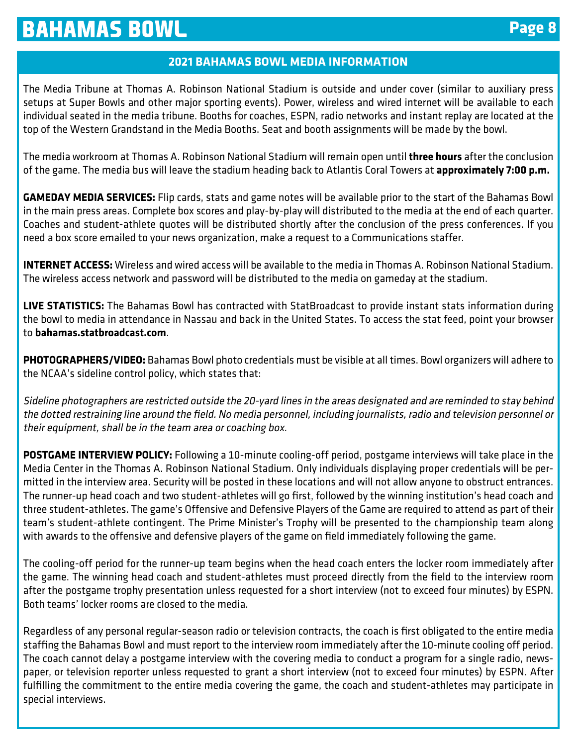## **Page 8**

#### **2021 BAHAMAS BOWL MEDIA INFORMATION**

The Media Tribune at Thomas A. Robinson National Stadium is outside and under cover (similar to auxiliary press setups at Super Bowls and other major sporting events). Power, wireless and wired internet will be available to each individual seated in the media tribune. Booths for coaches, ESPN, radio networks and instant replay are located at the top of the Western Grandstand in the Media Booths. Seat and booth assignments will be made by the bowl.

The media workroom at Thomas A. Robinson National Stadium will remain open until **three hours** after the conclusion of the game. The media bus will leave the stadium heading back to Atlantis Coral Towers at **approximately 7:00 p.m.**

**GAMEDAY MEDIA SERVICES:** Flip cards, stats and game notes will be available prior to the start of the Bahamas Bowl in the main press areas. Complete box scores and play-by-play will distributed to the media at the end of each quarter. Coaches and student-athlete quotes will be distributed shortly after the conclusion of the press conferences. If you need a box score emailed to your news organization, make a request to a Communications staffer.

**INTERNET ACCESS:** Wireless and wired access will be available to the media in Thomas A. Robinson National Stadium. The wireless access network and password will be distributed to the media on gameday at the stadium.

**LIVE STATISTICS:** The Bahamas Bowl has contracted with StatBroadcast to provide instant stats information during the bowl to media in attendance in Nassau and back in the United States. To access the stat feed, point your browser to **bahamas.statbroadcast.com**.

**PHOTOGRAPHERS/VIDEO:** Bahamas Bowl photo credentials must be visible at all times. Bowl organizers will adhere to the NCAA's sideline control policy, which states that:

Sideline photographers are restricted outside the 20-yard lines in the areas designated and are reminded to stay behind the dotted restraining line around the field. No media personnel, including journalists, radio and television personnel or their equipment, shall be in the team area or coaching box.

**POSTGAME INTERVIEW POLICY:** Following a 10-minute cooling-off period, postgame interviews will take place in the Media Center in the Thomas A. Robinson National Stadium. Only individuals displaying proper credentials will be permitted in the interview area. Security will be posted in these locations and will not allow anyone to obstruct entrances. The runner-up head coach and two student-athletes will go first, followed by the winning institution's head coach and three student-athletes. The game's Offensive and Defensive Players of the Game are required to attend as part of their team's student-athlete contingent. The Prime Minister's Trophy will be presented to the championship team along with awards to the offensive and defensive players of the game on field immediately following the game.

The cooling-off period for the runner-up team begins when the head coach enters the locker room immediately after the game. The winning head coach and student-athletes must proceed directly from the field to the interview room after the postgame trophy presentation unless requested for a short interview (not to exceed four minutes) by ESPN. Both teams' locker rooms are closed to the media.

Regardless of any personal regular-season radio or television contracts, the coach is first obligated to the entire media staffing the Bahamas Bowl and must report to the interview room immediately after the 10-minute cooling off period. The coach cannot delay a postgame interview with the covering media to conduct a program for a single radio, newspaper, or television reporter unless requested to grant a short interview (not to exceed four minutes) by ESPN. After fulfilling the commitment to the entire media covering the game, the coach and student-athletes may participate in special interviews.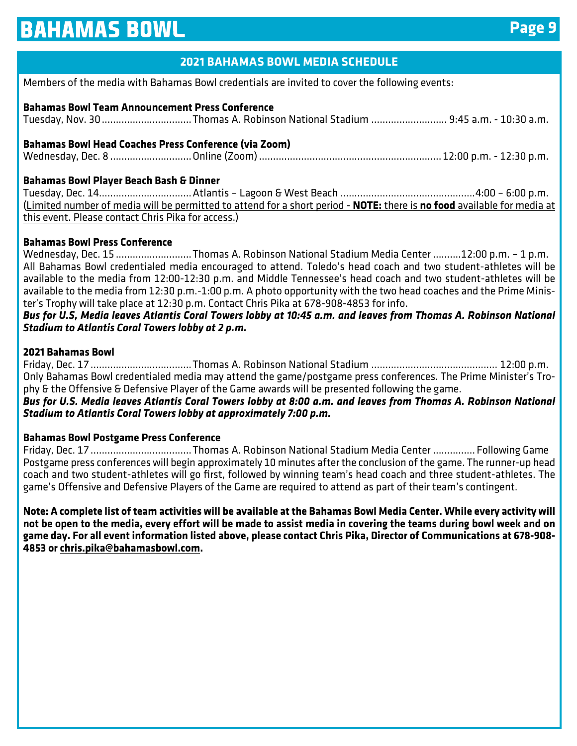## **2021 BAHAMAS BOWL MEDIA SCHEDULE**

Members of the media with Bahamas Bowl credentials are invited to cover the following events:

#### **Bahamas Bowl Team Announcement Press Conference**

Tuesday, Nov. 30 ................................Thomas A. Robinson National Stadium ........................... 9:45 a.m. - 10:30 a.m.

#### **Bahamas Bowl Head Coaches Press Conference (via Zoom)**

Wednesday, Dec. 8 .............................Online (Zoom) ................................................................. 12:00 p.m. - 12:30 p.m.

#### **Bahamas Bowl Player Beach Bash & Dinner**

Tuesday, Dec. 14.................................Atlantis – Lagoon & West Beach ................................................4:00 – 6:00 p.m. (Limited number of media will be permitted to attend for a short period - **NOTE:** there is **no food** available for media at this event. Please contact Chris Pika for access.)

#### **Bahamas Bowl Press Conference**

Wednesday, Dec. 15 ...........................Thomas A. Robinson National Stadium Media Center ..........12:00 p.m. - 1 p.m. All Bahamas Bowl credentialed media encouraged to attend. Toledo's head coach and two student-athletes will be available to the media from 12:00-12:30 p.m. and Middle Tennessee's head coach and two student-athletes will be available to the media from 12:30 p.m.-1:00 p.m. A photo opportunity with the two head coaches and the Prime Minister's Trophy will take place at 12:30 p.m. Contact Chris Pika at 678-908-4853 for info.

*Bus for U.S, Media leaves Atlantis Coral Towers lobby at 10:45 a.m. and leaves from Thomas A. Robinson National Stadium to Atlantis Coral Towers lobby at 2 p.m.*

#### **2021 Bahamas Bowl**

Friday, Dec. 17 ....................................Thomas A. Robinson National Stadium ............................................. 12:00 p.m. Only Bahamas Bowl credentialed media may attend the game/postgame press conferences. The Prime Minister's Trophy & the Offensive & Defensive Player of the Game awards will be presented following the game.

*Bus for U.S. Media leaves Atlantis Coral Towers lobby at 8:00 a.m. and leaves from Thomas A. Robinson National Stadium to Atlantis Coral Towers lobby at approximately 7:00 p.m.*

#### **Bahamas Bowl Postgame Press Conference**

Friday, Dec. 17 ....................................Thomas A. Robinson National Stadium Media Center ............... Following Game Postgame press conferences will begin approximately 10 minutes after the conclusion of the game. The runner-up head coach and two student-athletes will go first, followed by winning team's head coach and three student-athletes. The game's Offensive and Defensive Players of the Game are required to attend as part of their team's contingent.

**Note: A complete list of team activities will be available at the Bahamas Bowl Media Center. While every activity will not be open to the media, every effort will be made to assist media in covering the teams during bowl week and on game day. For all event information listed above, please contact Chris Pika, Director of Communications at 678-908- 4853 or chris.pika@bahamasbowl.com.**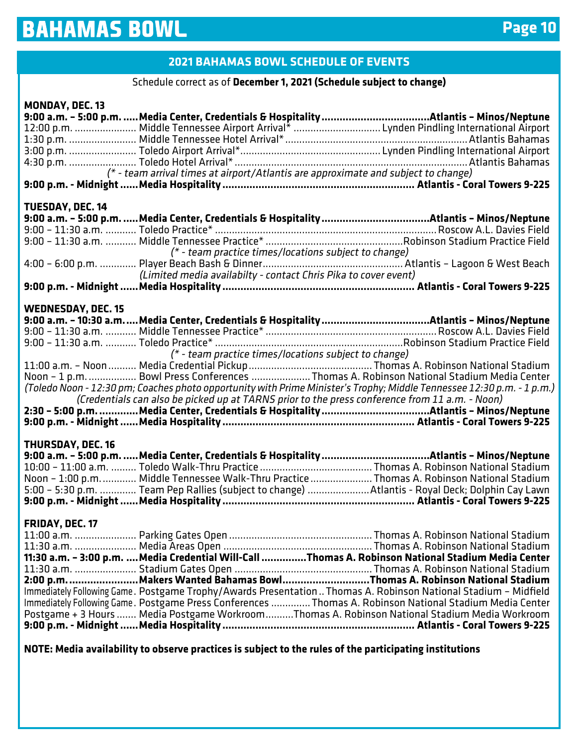## **2021 BAHAMAS BOWL SCHEDULE OF EVENTS**

#### Schedule correct as of **December 1, 2021 (Schedule subject to change)**

| <b>MONDAY, DEC. 13</b>                                                                                  |                                                                                                                                                                                                                            |  |
|---------------------------------------------------------------------------------------------------------|----------------------------------------------------------------------------------------------------------------------------------------------------------------------------------------------------------------------------|--|
|                                                                                                         | 12:00 p.m.  Middle Tennessee Airport Arrival*  Lynden Pindling International Airport                                                                                                                                       |  |
|                                                                                                         |                                                                                                                                                                                                                            |  |
|                                                                                                         |                                                                                                                                                                                                                            |  |
|                                                                                                         | (* - team arrival times at airport/Atlantis are approximate and subject to change)                                                                                                                                         |  |
|                                                                                                         |                                                                                                                                                                                                                            |  |
| <b>TUESDAY, DEC. 14</b>                                                                                 |                                                                                                                                                                                                                            |  |
|                                                                                                         |                                                                                                                                                                                                                            |  |
|                                                                                                         |                                                                                                                                                                                                                            |  |
|                                                                                                         | (* - team practice times/locations subject to change)                                                                                                                                                                      |  |
|                                                                                                         | (Limited media availabilty - contact Chris Pika to cover event)                                                                                                                                                            |  |
|                                                                                                         |                                                                                                                                                                                                                            |  |
| <b>WEDNESDAY, DEC. 15</b>                                                                               |                                                                                                                                                                                                                            |  |
|                                                                                                         | 9:00 a.m. - 10:30 a.mMedia Center, Credentials & Hospitality Atlantis - Minos/Neptune                                                                                                                                      |  |
|                                                                                                         |                                                                                                                                                                                                                            |  |
|                                                                                                         | $(* - team$ practice times/locations subject to change)                                                                                                                                                                    |  |
|                                                                                                         | Noon - 1 p.m.  Bowl Press Conferences Thomas A. Robinson National Stadium Media Center                                                                                                                                     |  |
|                                                                                                         | (Toledo Noon - 12:30 pm; Coaches photo opportunity with Prime Minister's Trophy; Middle Tennessee 12:30 p.m. - 1 p.m.)                                                                                                     |  |
|                                                                                                         | (Credentials can also be picked up at TARNS prior to the press conference from 11 a.m. - Noon)                                                                                                                             |  |
|                                                                                                         |                                                                                                                                                                                                                            |  |
|                                                                                                         |                                                                                                                                                                                                                            |  |
| <b>THURSDAY, DEC. 16</b>                                                                                |                                                                                                                                                                                                                            |  |
|                                                                                                         |                                                                                                                                                                                                                            |  |
|                                                                                                         | Noon - 1:00 p.m.  Middle Tennessee Walk-Thru Practice  Thomas A. Robinson National Stadium                                                                                                                                 |  |
|                                                                                                         | 5:00 - 5:30 p.m.  Team Pep Rallies (subject to change)  Atlantis - Royal Deck; Dolphin Cay Lawn                                                                                                                            |  |
|                                                                                                         |                                                                                                                                                                                                                            |  |
| FRIDAY, DEC. 17                                                                                         |                                                                                                                                                                                                                            |  |
|                                                                                                         |                                                                                                                                                                                                                            |  |
|                                                                                                         | 11:30 a.m. - 3:00 p.m.  Media Credential Will-Call Thomas A. Robinson National Stadium Media Center                                                                                                                        |  |
|                                                                                                         |                                                                                                                                                                                                                            |  |
|                                                                                                         |                                                                                                                                                                                                                            |  |
|                                                                                                         | Immediately Following Game. Postgame Trophy/Awards Presentation Thomas A. Robinson National Stadium - Midfield<br>Immediately Following Game. Postgame Press Conferences  Thomas A. Robinson National Stadium Media Center |  |
|                                                                                                         | Postgame + 3 Hours  Media Postgame Workroom Thomas A. Robinson National Stadium Media Workroom                                                                                                                             |  |
|                                                                                                         |                                                                                                                                                                                                                            |  |
| NOTE: Media availability to observe practices is subject to the rules of the participating institutions |                                                                                                                                                                                                                            |  |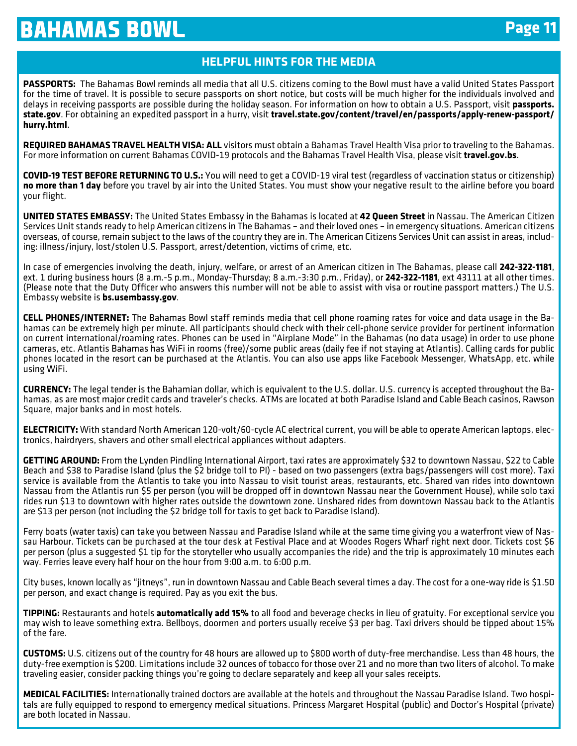### **HELPFUL HINTS FOR THE MEDIA**

**PASSPORTS:** The Bahamas Bowl reminds all media that all U.S. citizens coming to the Bowl must have a valid United States Passport for the time of travel. It is possible to secure passports on short notice, but costs will be much higher for the individuals involved and delays in receiving passports are possible during the holiday season. For information on how to obtain a U.S. Passport, visit **passports. state.gov**. For obtaining an expedited passport in a hurry, visit **travel.state.gov/content/travel/en/passports/apply-renew-passport/ hurry.html**.

**REQUIRED BAHAMAS TRAVEL HEALTH VISA: ALL** visitors must obtain a Bahamas Travel Health Visa prior to traveling to the Bahamas. For more information on current Bahamas COVID-19 protocols and the Bahamas Travel Health Visa, please visit **travel.gov.bs**.

**COVID-19 TEST BEFORE RETURNING TO U.S.:** You will need to get a COVID-19 viral test (regardless of vaccination status or citizenship) **no more than 1 day** before you travel by air into the United States. You must show your negative result to the airline before you board your flight.

**UNITED STATES EMBASSY:** The United States Embassy in the Bahamas is located at **42 Queen Street** in Nassau. The American Citizen Services Unit stands ready to help American citizens in The Bahamas – and their loved ones – in emergency situations. American citizens overseas, of course, remain subject to the laws of the country they are in. The American Citizens Services Unit can assist in areas, including: illness/injury, lost/stolen U.S. Passport, arrest/detention, victims of crime, etc.

In case of emergencies involving the death, injury, welfare, or arrest of an American citizen in The Bahamas, please call **242-322-1181**, ext. 1 during business hours (8 a.m.-5 p.m., Monday-Thursday; 8 a.m.-3:30 p.m., Friday), or **242-322-1181**, ext 43111 at all other times. (Please note that the Duty Officer who answers this number will not be able to assist with visa or routine passport matters.) The U.S. Embassy website is **bs.usembassy.gov**.

**CELL PHONES/INTERNET:** The Bahamas Bowl staff reminds media that cell phone roaming rates for voice and data usage in the Bahamas can be extremely high per minute. All participants should check with their cell-phone service provider for pertinent information on current international/roaming rates. Phones can be used in "Airplane Mode" in the Bahamas (no data usage) in order to use phone cameras, etc. Atlantis Bahamas has WiFi in rooms (free)/some public areas (daily fee if not staying at Atlantis). Calling cards for public phones located in the resort can be purchased at the Atlantis. You can also use apps like Facebook Messenger, WhatsApp, etc. while using WiFi.

**CURRENCY:** The legal tender is the Bahamian dollar, which is equivalent to the U.S. dollar. U.S. currency is accepted throughout the Bahamas, as are most major credit cards and traveler's checks. ATMs are located at both Paradise Island and Cable Beach casinos, Rawson Square, major banks and in most hotels.

**ELECTRICITY:** With standard North American 120-volt/60-cycle AC electrical current, you will be able to operate American laptops, electronics, hairdryers, shavers and other small electrical appliances without adapters.

**GETTING AROUND:** From the Lynden Pindling International Airport, taxi rates are approximately \$32 to downtown Nassau, \$22 to Cable Beach and \$38 to Paradise Island (plus the \$2 bridge toll to PI) - based on two passengers (extra bags/passengers will cost more). Taxi service is available from the Atlantis to take you into Nassau to visit tourist areas, restaurants, etc. Shared van rides into downtown Nassau from the Atlantis run \$5 per person (you will be dropped off in downtown Nassau near the Government House), while solo taxi rides run \$13 to downtown with higher rates outside the downtown zone. Unshared rides from downtown Nassau back to the Atlantis are \$13 per person (not including the \$2 bridge toll for taxis to get back to Paradise Island).

Ferry boats (water taxis) can take you between Nassau and Paradise Island while at the same time giving you a waterfront view of Nassau Harbour. Tickets can be purchased at the tour desk at Festival Place and at Woodes Rogers Wharf right next door. Tickets cost \$6 per person (plus a suggested \$1 tip for the storyteller who usually accompanies the ride) and the trip is approximately 10 minutes each way. Ferries leave every half hour on the hour from 9:00 a.m. to 6:00 p.m.

City buses, known locally as "jitneys", run in downtown Nassau and Cable Beach several times a day. The cost for a one-way ride is \$1.50 per person, and exact change is required. Pay as you exit the bus.

**TIPPING:** Restaurants and hotels **automatically add 15%** to all food and beverage checks in lieu of gratuity. For exceptional service you may wish to leave something extra. Bellboys, doormen and porters usually receive \$3 per bag. Taxi drivers should be tipped about 15% of the fare.

**CUSTOMS:** U.S. citizens out of the country for 48 hours are allowed up to \$800 worth of duty-free merchandise. Less than 48 hours, the duty-free exemption is \$200. Limitations include 32 ounces of tobacco for those over 21 and no more than two liters of alcohol. To make traveling easier, consider packing things you're going to declare separately and keep all your sales receipts.

**MEDICAL FACILITIES:** Internationally trained doctors are available at the hotels and throughout the Nassau Paradise Island. Two hospitals are fully equipped to respond to emergency medical situations. Princess Margaret Hospital (public) and Doctor's Hospital (private) are both located in Nassau.